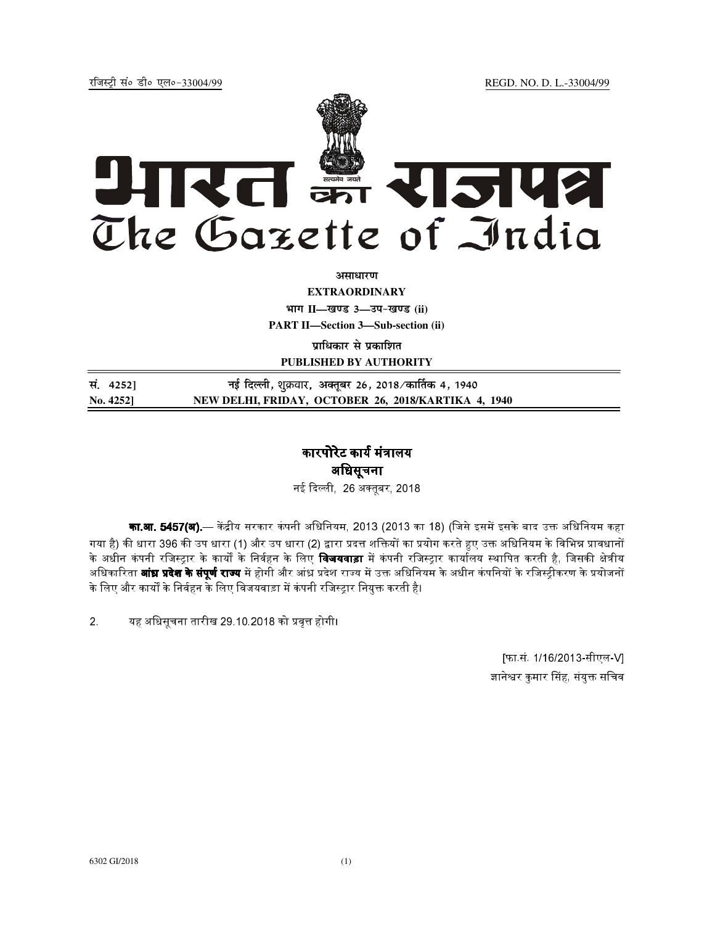jftLVªh laö Mhö ,yö&33004@99 REGD. NO. D. L.-33004/99



असाधार**ण** 

**EXTRAORDINARY**

**Hkkx II—[k.M 3—mi&[k.M (ii)**

**PART II—Section 3—Sub-section (ii)** 

**प्राधिकार से प्रकाशित PUBLISHED BY AUTHORITY**

**la- 4252] ubZ fnYyh]** शुबवार, **vDrwcj 26] 2018@dk£rd 4] 1940 No. 4252] NEW DELHI, FRIDAY, OCTOBER 26, 2018/KARTIKA 4, 1940**

## कारपोरेट कार्य मंत्रालय अधिसूचना

- 26 
बर, 2018

**का.आ. 5457(अ).**— केंद्रीय सरकार कंपनी अधिनियम, 2013 (2013 का 18) (जिसे इसमें इसके बाद उक्त अधिनियम कहा गया है) की धारा 396 की उप धारा (1) और उप धारा (2) द्वारा प्रदत्त शक्तियों का प्रयोग करते हुए उक्त अधिनियम के विभिन्न प्रावधानों  $\,$ के अधीन कंपनी रजिस्ट्रार के कार्यों के निर्वहन के लिए **विजयवाड़ा** में कंपनी रजिस्ट्रार कार्यालय स्थापित करती है, जिसकी क्षेत्रीय अधिकारिता **आंध्र प्रदेश के संपूर्ण राज्य** में होगी और आंध्र प्रदेश राज्य में उक्त अधिनियम के अधीन कंपनियों के रजिस्ट्रीकरण के प्रयोजनों --के लिए और कार्यों के निर्वहन के लिए विजयवाड़ा में कंपनी रजिस्टार नियुक्त करती है।

2. यह अधिसूचना तारीख 29 10.2018 को प्रवृत्त होगी।

 [फा.सं. 1/16/2013-सीएल-V] ज्ञानेश्वर कुमार सिंह, संयुक्त सचिव